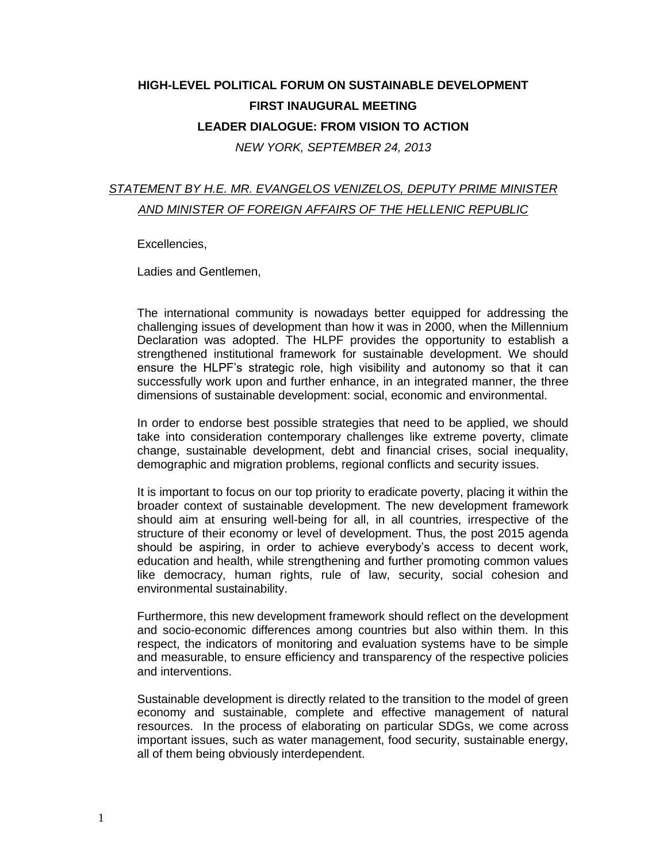## **HIGH-LEVEL POLITICAL FORUM ON SUSTAINABLE DEVELOPMENT FIRST INAUGURAL MEETING LEADER DIALOGUE: FROM VISION TO ACTION** *NEW YORK, SEPTEMBER 24, 2013*

## *STATEMENT BY H.E. MR. EVANGELOS VENIZELOS, DEPUTY PRIME MINISTER AND MINISTER OF FOREIGN AFFAIRS OF THE HELLENIC REPUBLIC*

Excellencies,

Ladies and Gentlemen,

The international community is nowadays better equipped for addressing the challenging issues of development than how it was in 2000, when the Millennium Declaration was adopted. The HLPF provides the opportunity to establish a strengthened institutional framework for sustainable development. We should ensure the HLPF's strategic role, high visibility and autonomy so that it can successfully work upon and further enhance, in an integrated manner, the three dimensions of sustainable development: social, economic and environmental.

In order to endorse best possible strategies that need to be applied, we should take into consideration contemporary challenges like extreme poverty, climate change, sustainable development, debt and financial crises, social inequality, demographic and migration problems, regional conflicts and security issues.

It is important to focus on our top priority to eradicate poverty, placing it within the broader context of sustainable development. The new development framework should aim at ensuring well-being for all, in all countries, irrespective of the structure of their economy or level of development. Thus, the post 2015 agenda should be aspiring, in order to achieve everybody's access to decent work, education and health, while strengthening and further promoting common values like democracy, human rights, rule of law, security, social cohesion and environmental sustainability.

Furthermore, this new development framework should reflect on the development and socio-economic differences among countries but also within them. In this respect, the indicators of monitoring and evaluation systems have to be simple and measurable, to ensure efficiency and transparency of the respective policies and interventions.

Sustainable development is directly related to the transition to the model of green economy and sustainable, complete and effective management of natural resources. In the process of elaborating on particular SDGs, we come across important issues, such as water management, food security, sustainable energy, all of them being obviously interdependent.